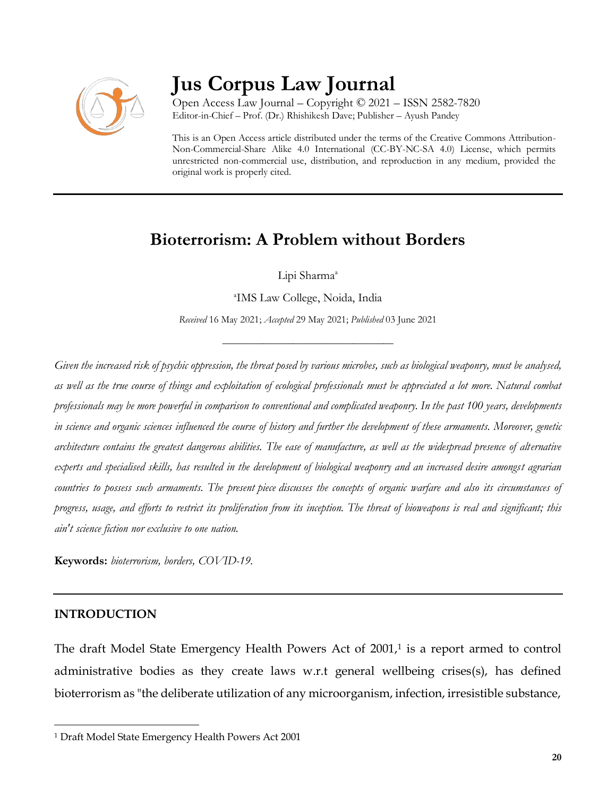

# **Jus Corpus Law Journal**

Open Access Law Journal – Copyright © 2021 – ISSN 2582-7820 Editor-in-Chief – Prof. (Dr.) Rhishikesh Dave; Publisher – Ayush Pandey

This is an Open Access article distributed under the terms of the Creative Commons Attribution-Non-Commercial-Share Alike 4.0 International (CC-BY-NC-SA 4.0) License, which permits unrestricted non-commercial use, distribution, and reproduction in any medium, provided the original work is properly cited.

# **Bioterrorism: A Problem without Borders**

Lipi Sharma<sup>a</sup>

a IMS Law College, Noida, India

*Received* 16 May 2021; *Accepted* 29 May 2021; *Published* 03 June 2021

\_\_\_\_\_\_\_\_\_\_\_\_\_\_\_\_\_\_\_\_\_\_\_\_\_\_\_\_\_\_\_\_\_\_

*Given the increased risk of psychic oppression, the threat posed by various microbes, such as biological weaponry, must be analysed, as well as the true course of things and exploitation of ecological professionals must be appreciated a lot more. Natural combat professionals may be more powerful in comparison to conventional and complicated weaponry. In the past 100 years, developments in science and organic sciences influenced the course of history and further the development of these armaments. Moreover, genetic architecture contains the greatest dangerous abilities. The ease of manufacture, as well as the widespread presence of alternative experts and specialised skills, has resulted in the development of biological weaponry and an increased desire amongst agrarian countries to possess such armaments. The present piece discusses the concepts of organic warfare and also its circumstances of progress, usage, and efforts to restrict its proliferation from its inception. The threat of bioweapons is real and significant; this ain't science fiction nor exclusive to one nation.*

**Keywords:** *bioterrorism, borders, COVID-19.*

### **INTRODUCTION**

 $\overline{\phantom{a}}$ 

The draft Model State Emergency Health Powers Act of 2001,<sup>1</sup> is a report armed to control administrative bodies as they create laws w.r.t general wellbeing crises(s), has defined bioterrorism as "the deliberate utilization of any microorganism, infection, irresistible substance,

<sup>1</sup> Draft Model State Emergency Health Powers Act 2001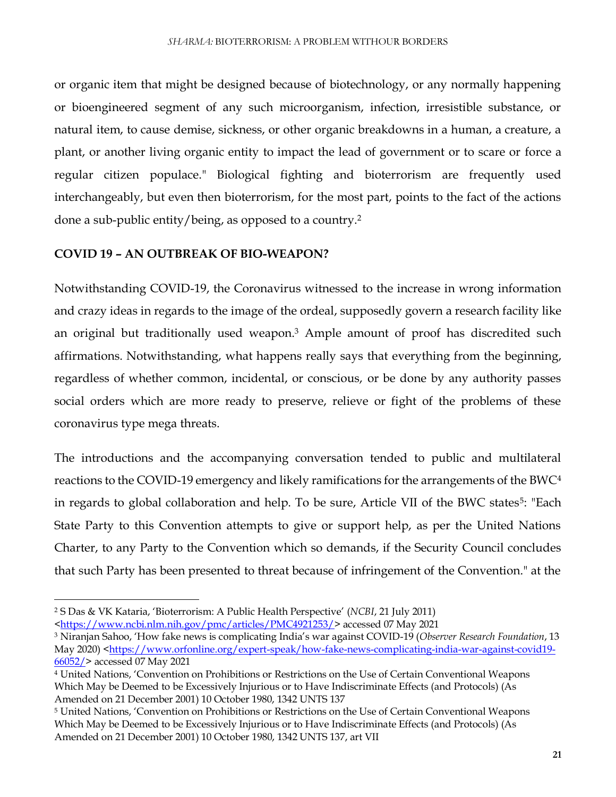or organic item that might be designed because of biotechnology, or any normally happening or bioengineered segment of any such microorganism, infection, irresistible substance, or natural item, to cause demise, sickness, or other organic breakdowns in a human, a creature, a plant, or another living organic entity to impact the lead of government or to scare or force a regular citizen populace." Biological fighting and bioterrorism are frequently used interchangeably, but even then bioterrorism, for the most part, points to the fact of the actions done a sub-public entity/being, as opposed to a country.<sup>2</sup>

#### **COVID 19 – AN OUTBREAK OF BIO-WEAPON?**

Notwithstanding COVID-19, the Coronavirus witnessed to the increase in wrong information and crazy ideas in regards to the image of the ordeal, supposedly govern a research facility like an original but traditionally used weapon.<sup>3</sup> Ample amount of proof has discredited such affirmations. Notwithstanding, what happens really says that everything from the beginning, regardless of whether common, incidental, or conscious, or be done by any authority passes social orders which are more ready to preserve, relieve or fight of the problems of these coronavirus type mega threats.

The introductions and the accompanying conversation tended to public and multilateral reactions to the COVID-19 emergency and likely ramifications for the arrangements of the BWC<sup>4</sup> in regards to global collaboration and help. To be sure, Article VII of the BWC states<sup>5</sup>: "Each State Party to this Convention attempts to give or support help, as per the United Nations Charter, to any Party to the Convention which so demands, if the Security Council concludes that such Party has been presented to threat because of infringement of the Convention." at the

 $\overline{a}$ 

[<https://www.ncbi.nlm.nih.gov/pmc/articles/PMC4921253/>](https://www.ncbi.nlm.nih.gov/pmc/articles/PMC4921253/) accessed 07 May 2021

<sup>2</sup> S Das & VK Kataria, 'Bioterrorism: A Public Health Perspective' (*NCBI*, 21 July 2011)

<sup>3</sup> Niranjan Sahoo, 'How fake news is complicating India's war against COVID-19 (*Observer Research Foundation*, 13 May 2020) [<https://www.orfonline.org/expert-speak/how-fake-news-complicating-india-war-against-covid19-](https://www.orfonline.org/expert-speak/how-fake-news-complicating-india-war-against-covid19-66052/) [66052/>](https://www.orfonline.org/expert-speak/how-fake-news-complicating-india-war-against-covid19-66052/) accessed 07 May 2021

<sup>4</sup> United Nations, 'Convention on Prohibitions or Restrictions on the Use of Certain Conventional Weapons Which May be Deemed to be Excessively Injurious or to Have Indiscriminate Effects (and Protocols) (As Amended on 21 December 2001) 10 October 1980, 1342 UNTS 137

<sup>5</sup> United Nations, 'Convention on Prohibitions or Restrictions on the Use of Certain Conventional Weapons Which May be Deemed to be Excessively Injurious or to Have Indiscriminate Effects (and Protocols) (As Amended on 21 December 2001) 10 October 1980, 1342 UNTS 137, art VII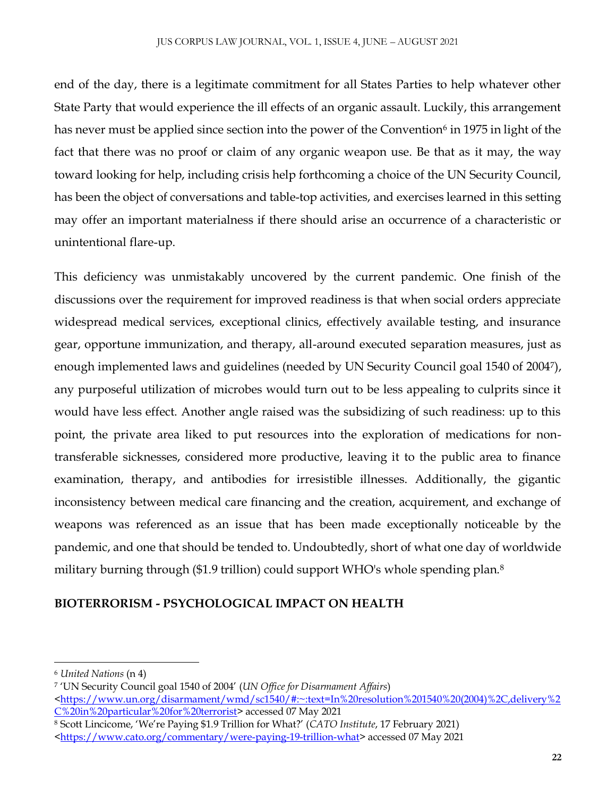end of the day, there is a legitimate commitment for all States Parties to help whatever other State Party that would experience the ill effects of an organic assault. Luckily, this arrangement has never must be applied since section into the power of the Convention $^6$  in 1975 in light of the fact that there was no proof or claim of any organic weapon use. Be that as it may, the way toward looking for help, including crisis help forthcoming a choice of the UN Security Council, has been the object of conversations and table-top activities, and exercises learned in this setting may offer an important materialness if there should arise an occurrence of a characteristic or unintentional flare-up.

This deficiency was unmistakably uncovered by the current pandemic. One finish of the discussions over the requirement for improved readiness is that when social orders appreciate widespread medical services, exceptional clinics, effectively available testing, and insurance gear, opportune immunization, and therapy, all-around executed separation measures, just as enough implemented laws and guidelines (needed by UN Security Council goal 1540 of 2004<sup>7</sup> ), any purposeful utilization of microbes would turn out to be less appealing to culprits since it would have less effect. Another angle raised was the subsidizing of such readiness: up to this point, the private area liked to put resources into the exploration of medications for nontransferable sicknesses, considered more productive, leaving it to the public area to finance examination, therapy, and antibodies for irresistible illnesses. Additionally, the gigantic inconsistency between medical care financing and the creation, acquirement, and exchange of weapons was referenced as an issue that has been made exceptionally noticeable by the pandemic, and one that should be tended to. Undoubtedly, short of what one day of worldwide military burning through (\$1.9 trillion) could support WHO's whole spending plan.<sup>8</sup>

### **BIOTERRORISM - PSYCHOLOGICAL IMPACT ON HEALTH**

 $\overline{a}$ 

<sup>6</sup> *United Nations* (n 4)

<sup>7</sup> 'UN Security Council goal 1540 of 2004' (*UN Office for Disarmament Affairs*) [<https://www.un.org/disarmament/wmd/sc1540/#:~:text=In%20resolution%201540%20\(2004\)%2C,delivery%2](https://www.un.org/disarmament/wmd/sc1540/#:~:text=In%20resolution%201540%20(2004)%2C,delivery%2C%20in%20particular%20for%20terrorist) [C%20in%20particular%20for%20terrorist>](https://www.un.org/disarmament/wmd/sc1540/#:~:text=In%20resolution%201540%20(2004)%2C,delivery%2C%20in%20particular%20for%20terrorist) accessed 07 May 2021

<sup>8</sup> Scott Lincicome, 'We're Paying \$1.9 Trillion for What?' (*CATO Institute*, 17 February 2021)

[<sup>&</sup>lt;https://www.cato.org/commentary/were-paying-19-trillion-what>](https://www.cato.org/commentary/were-paying-19-trillion-what)accessed 07 May 2021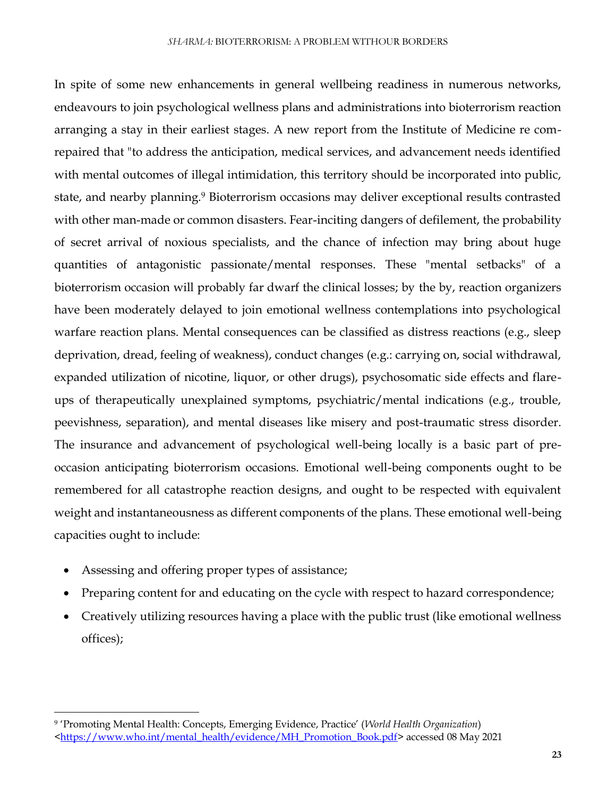In spite of some new enhancements in general wellbeing readiness in numerous networks, endeavours to join psychological wellness plans and administrations into bioterrorism reaction arranging a stay in their earliest stages. A new report from the Institute of Medicine re comrepaired that "to address the anticipation, medical services, and advancement needs identified with mental outcomes of illegal intimidation, this territory should be incorporated into public, state, and nearby planning.<sup>9</sup> Bioterrorism occasions may deliver exceptional results contrasted with other man-made or common disasters. Fear-inciting dangers of defilement, the probability of secret arrival of noxious specialists, and the chance of infection may bring about huge quantities of antagonistic passionate/mental responses. These "mental setbacks" of a bioterrorism occasion will probably far dwarf the clinical losses; by the by, reaction organizers have been moderately delayed to join emotional wellness contemplations into psychological warfare reaction plans. Mental consequences can be classified as distress reactions (e.g., sleep deprivation, dread, feeling of weakness), conduct changes (e.g.: carrying on, social withdrawal, expanded utilization of nicotine, liquor, or other drugs), psychosomatic side effects and flareups of therapeutically unexplained symptoms, psychiatric/mental indications (e.g., trouble, peevishness, separation), and mental diseases like misery and post-traumatic stress disorder. The insurance and advancement of psychological well-being locally is a basic part of preoccasion anticipating bioterrorism occasions. Emotional well-being components ought to be remembered for all catastrophe reaction designs, and ought to be respected with equivalent weight and instantaneousness as different components of the plans. These emotional well-being capacities ought to include:

Assessing and offering proper types of assistance;

 $\overline{\phantom{a}}$ 

- Preparing content for and educating on the cycle with respect to hazard correspondence;
- Creatively utilizing resources having a place with the public trust (like emotional wellness offices);

<sup>9</sup> 'Promoting Mental Health: Concepts, Emerging Evidence, Practice' (*World Health Organization*)

[<sup>&</sup>lt;https://www.who.int/mental\\_health/evidence/MH\\_Promotion\\_Book.pdf>](https://www.who.int/mental_health/evidence/MH_Promotion_Book.pdf) accessed 08 May 2021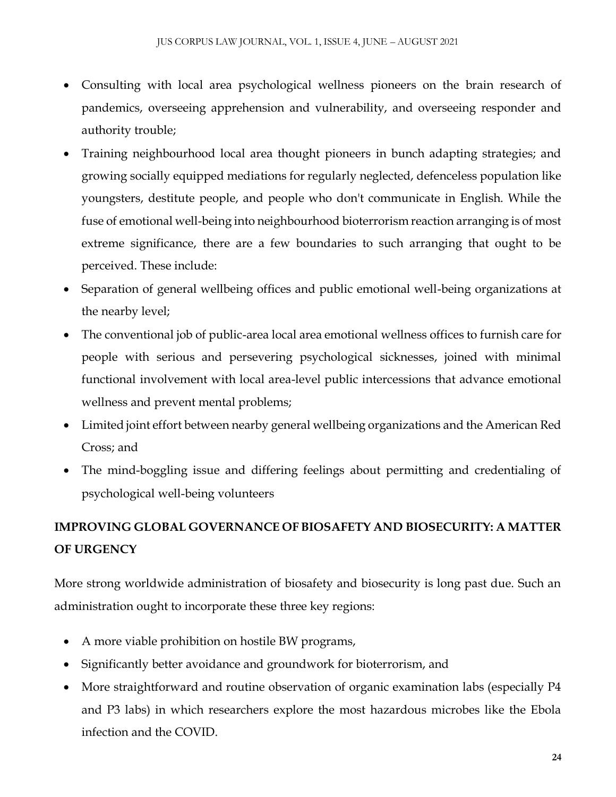- Consulting with local area psychological wellness pioneers on the brain research of pandemics, overseeing apprehension and vulnerability, and overseeing responder and authority trouble;
- Training neighbourhood local area thought pioneers in bunch adapting strategies; and growing socially equipped mediations for regularly neglected, defenceless population like youngsters, destitute people, and people who don't communicate in English. While the fuse of emotional well-being into neighbourhood bioterrorism reaction arranging is of most extreme significance, there are a few boundaries to such arranging that ought to be perceived. These include:
- Separation of general wellbeing offices and public emotional well-being organizations at the nearby level;
- The conventional job of public-area local area emotional wellness offices to furnish care for people with serious and persevering psychological sicknesses, joined with minimal functional involvement with local area-level public intercessions that advance emotional wellness and prevent mental problems;
- Limited joint effort between nearby general wellbeing organizations and the American Red Cross; and
- The mind-boggling issue and differing feelings about permitting and credentialing of psychological well-being volunteers

# **IMPROVING GLOBAL GOVERNANCE OF BIOSAFETY AND BIOSECURITY: A MATTER OF URGENCY**

More strong worldwide administration of biosafety and biosecurity is long past due. Such an administration ought to incorporate these three key regions:

- A more viable prohibition on hostile BW programs,
- Significantly better avoidance and groundwork for bioterrorism, and
- More straightforward and routine observation of organic examination labs (especially P4 and P3 labs) in which researchers explore the most hazardous microbes like the Ebola infection and the COVID.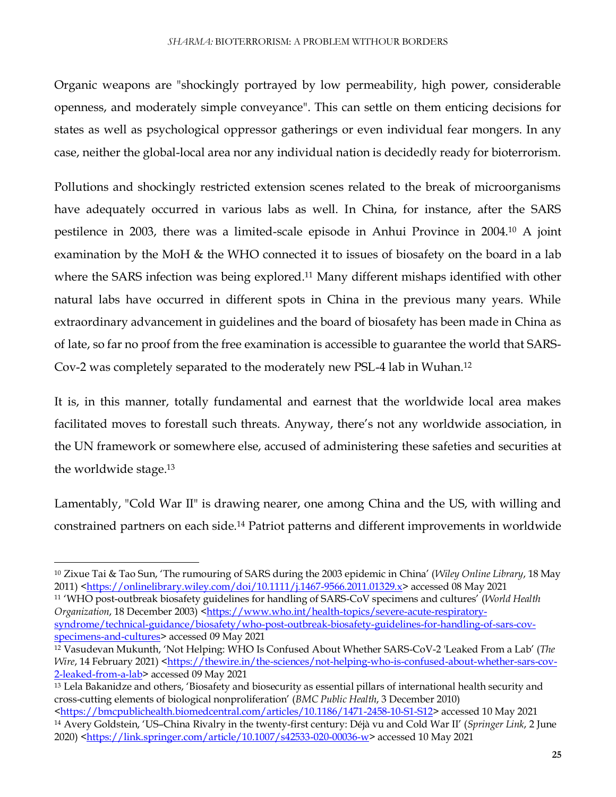Organic weapons are "shockingly portrayed by low permeability, high power, considerable openness, and moderately simple conveyance". This can settle on them enticing decisions for states as well as psychological oppressor gatherings or even individual fear mongers. In any case, neither the global-local area nor any individual nation is decidedly ready for bioterrorism.

Pollutions and shockingly restricted extension scenes related to the break of microorganisms have adequately occurred in various labs as well. In China, for instance, after the SARS pestilence in 2003, there was a limited-scale episode in Anhui Province in 2004.<sup>10</sup> A joint examination by the MoH & the WHO connected it to issues of biosafety on the board in a lab where the SARS infection was being explored.<sup>11</sup> Many different mishaps identified with other natural labs have occurred in different spots in China in the previous many years. While extraordinary advancement in guidelines and the board of biosafety has been made in China as of late, so far no proof from the free examination is accessible to guarantee the world that SARS-Cov-2 was completely separated to the moderately new PSL-4 lab in Wuhan.<sup>12</sup>

It is, in this manner, totally fundamental and earnest that the worldwide local area makes facilitated moves to forestall such threats. Anyway, there's not any worldwide association, in the UN framework or somewhere else, accused of administering these safeties and securities at the worldwide stage. 13

Lamentably, "Cold War II" is drawing nearer, one among China and the US, with willing and constrained partners on each side.<sup>14</sup> Patriot patterns and different improvements in worldwide

<sup>11</sup> 'WHO post-outbreak biosafety guidelines for handling of SARS-CoV specimens and cultures' (*World Health Organization*, 18 December 2003) [<https://www.who.int/health-topics/severe-acute-respiratory](https://www.who.int/health-topics/severe-acute-respiratory-syndrome/technical-guidance/biosafety/who-post-outbreak-biosafety-guidelines-for-handling-of-sars-cov-specimens-and-cultures)[syndrome/technical-guidance/biosafety/who-post-outbreak-biosafety-guidelines-for-handling-of-sars-cov](https://www.who.int/health-topics/severe-acute-respiratory-syndrome/technical-guidance/biosafety/who-post-outbreak-biosafety-guidelines-for-handling-of-sars-cov-specimens-and-cultures)[specimens-and-cultures>](https://www.who.int/health-topics/severe-acute-respiratory-syndrome/technical-guidance/biosafety/who-post-outbreak-biosafety-guidelines-for-handling-of-sars-cov-specimens-and-cultures) accessed 09 May 2021

 $\overline{a}$ 

<sup>10</sup> Zixue Tai & Tao Sun, 'The rumouring of SARS during the 2003 epidemic in China' (*Wiley Online Library*, 18 May 2011) [<https://onlinelibrary.wiley.com/doi/10.1111/j.1467-9566.2011.01329.x>](https://onlinelibrary.wiley.com/doi/10.1111/j.1467-9566.2011.01329.x) accessed 08 May 2021

<sup>12</sup> Vasudevan Mukunth, 'Not Helping: WHO Is Confused About Whether SARS-CoV-2 'Leaked From a Lab' (*The Wire*, 14 February 2021) [<https://thewire.in/the-sciences/not-helping-who-is-confused-about-whether-sars-cov-](https://thewire.in/the-sciences/not-helping-who-is-confused-about-whether-sars-cov-2-leaked-from-a-lab)[2-leaked-from-a-lab>](https://thewire.in/the-sciences/not-helping-who-is-confused-about-whether-sars-cov-2-leaked-from-a-lab) accessed 09 May 2021

<sup>13</sup> Lela Bakanidze and others, 'Biosafety and biosecurity as essential pillars of international health security and cross-cutting elements of biological nonproliferation' (*BMC Public Health*, 3 December 2010)

[<sup>&</sup>lt;https://bmcpublichealth.biomedcentral.com/articles/10.1186/1471-2458-10-S1-S12>](https://bmcpublichealth.biomedcentral.com/articles/10.1186/1471-2458-10-S1-S12) accessed 10 May 2021 <sup>14</sup> Avery Goldstein, 'US–China Rivalry in the twenty-first century: Déjà vu and Cold War II' (*Springer Link*, 2 June 2020) [<https://link.springer.com/article/10.1007/s42533-020-00036-w>](https://link.springer.com/article/10.1007/s42533-020-00036-w) accessed 10 May 2021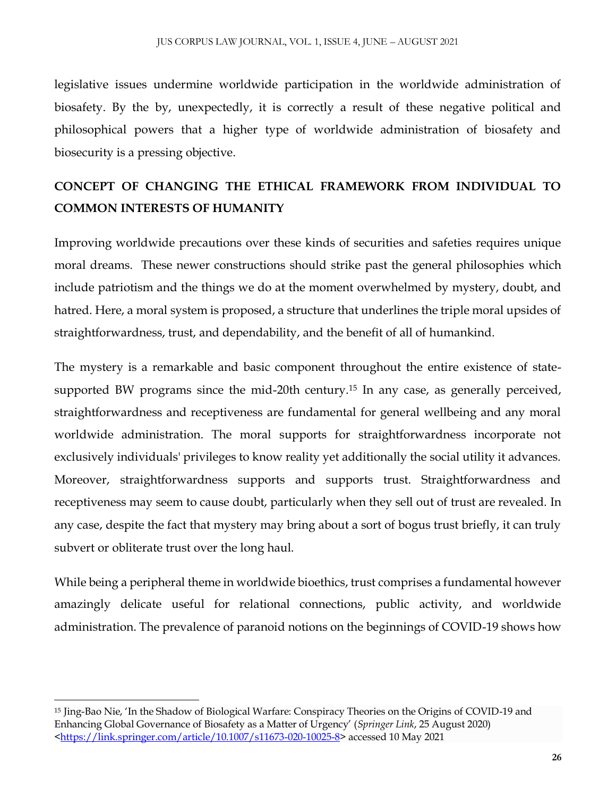legislative issues undermine worldwide participation in the worldwide administration of biosafety. By the by, unexpectedly, it is correctly a result of these negative political and philosophical powers that a higher type of worldwide administration of biosafety and biosecurity is a pressing objective.

## **CONCEPT OF CHANGING THE ETHICAL FRAMEWORK FROM INDIVIDUAL TO COMMON INTERESTS OF HUMANITY**

Improving worldwide precautions over these kinds of securities and safeties requires unique moral dreams. These newer constructions should strike past the general philosophies which include patriotism and the things we do at the moment overwhelmed by mystery, doubt, and hatred. Here, a moral system is proposed, a structure that underlines the triple moral upsides of straightforwardness, trust, and dependability, and the benefit of all of humankind.

The mystery is a remarkable and basic component throughout the entire existence of statesupported BW programs since the mid-20th century.<sup>15</sup> In any case, as generally perceived, straightforwardness and receptiveness are fundamental for general wellbeing and any moral worldwide administration. The moral supports for straightforwardness incorporate not exclusively individuals' privileges to know reality yet additionally the social utility it advances. Moreover, straightforwardness supports and supports trust. Straightforwardness and receptiveness may seem to cause doubt, particularly when they sell out of trust are revealed. In any case, despite the fact that mystery may bring about a sort of bogus trust briefly, it can truly subvert or obliterate trust over the long haul.

While being a peripheral theme in worldwide bioethics, trust comprises a fundamental however amazingly delicate useful for relational connections, public activity, and worldwide administration. The prevalence of paranoid notions on the beginnings of COVID-19 shows how

 $\overline{\phantom{a}}$ 

<sup>15</sup> Jing-Bao Nie, 'In the Shadow of Biological Warfare: Conspiracy Theories on the Origins of COVID-19 and Enhancing Global Governance of Biosafety as a Matter of Urgency' (*Springer Link*, 25 August 2020) [<https://link.springer.com/article/10.1007/s11673-020-10025-8>](https://link.springer.com/article/10.1007/s11673-020-10025-8) accessed 10 May 2021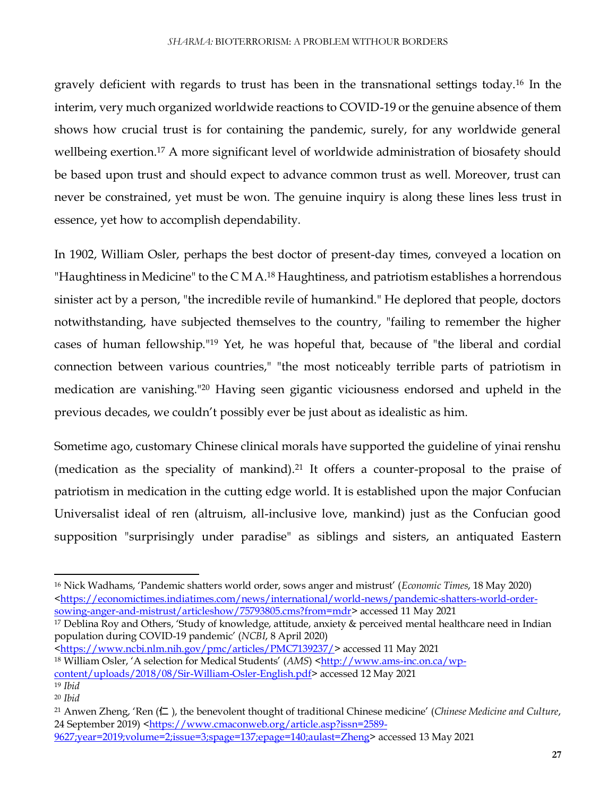gravely deficient with regards to trust has been in the transnational settings today.<sup>16</sup> In the interim, very much organized worldwide reactions to COVID-19 or the genuine absence of them shows how crucial trust is for containing the pandemic, surely, for any worldwide general wellbeing exertion.<sup>17</sup> A more significant level of worldwide administration of biosafety should be based upon trust and should expect to advance common trust as well. Moreover, trust can never be constrained, yet must be won. The genuine inquiry is along these lines less trust in essence, yet how to accomplish dependability.

In 1902, William Osler, perhaps the best doctor of present-day times, conveyed a location on "Haughtiness in Medicine" to the C M A.<sup>18</sup> Haughtiness, and patriotism establishes a horrendous sinister act by a person, "the incredible revile of humankind." He deplored that people, doctors notwithstanding, have subjected themselves to the country, "failing to remember the higher cases of human fellowship."<sup>19</sup> Yet, he was hopeful that, because of "the liberal and cordial connection between various countries," "the most noticeably terrible parts of patriotism in medication are vanishing."<sup>20</sup> Having seen gigantic viciousness endorsed and upheld in the previous decades, we couldn't possibly ever be just about as idealistic as him.

Sometime ago, customary Chinese clinical morals have supported the guideline of yinai renshu (medication as the speciality of mankind).<sup>21</sup> It offers a counter-proposal to the praise of patriotism in medication in the cutting edge world. It is established upon the major Confucian Universalist ideal of ren (altruism, all-inclusive love, mankind) just as the Confucian good supposition "surprisingly under paradise" as siblings and sisters, an antiquated Eastern

<sup>17</sup> Deblina Roy and Others, 'Study of knowledge, attitude, anxiety & perceived mental healthcare need in Indian population during COVID-19 pandemic' (*NCBI*, 8 April 2020)

[<https://www.ncbi.nlm.nih.gov/pmc/articles/PMC7139237/>](https://www.ncbi.nlm.nih.gov/pmc/articles/PMC7139237/)accessed 11 May 2021 <sup>18</sup> William Osler, 'A selection for Medical Students' (*AMS*) [<http://www.ams-inc.on.ca/wp](http://www.ams-inc.on.ca/wp-content/uploads/2018/08/Sir-William-Osler-English.pdf)[content/uploads/2018/08/Sir-William-Osler-English.pdf>](http://www.ams-inc.on.ca/wp-content/uploads/2018/08/Sir-William-Osler-English.pdf) accessed 12 May 2021

 $\overline{a}$ 

<sup>16</sup> Nick Wadhams, 'Pandemic shatters world order, sows anger and mistrust' (*Economic Times*, 18 May 2020) [<https://economictimes.indiatimes.com/news/international/world-news/pandemic-shatters-world-order](https://economictimes.indiatimes.com/news/international/world-news/pandemic-shatters-world-order-sowing-anger-and-mistrust/articleshow/75793805.cms?from=mdr)[sowing-anger-and-mistrust/articleshow/75793805.cms?from=mdr>](https://economictimes.indiatimes.com/news/international/world-news/pandemic-shatters-world-order-sowing-anger-and-mistrust/articleshow/75793805.cms?from=mdr) accessed 11 May 2021

<sup>19</sup> *Ibid*

<sup>20</sup> *Ibid*

<sup>21</sup> Anwen Zheng, 'Ren (仁 ), the benevolent thought of traditional Chinese medicine' (*Chinese Medicine and Culture*, 24 September 2019) [<https://www.cmaconweb.org/article.asp?issn=2589-](https://www.cmaconweb.org/article.asp?issn=2589-9627;year=2019;volume=2;issue=3;spage=137;epage=140;aulast=Zheng)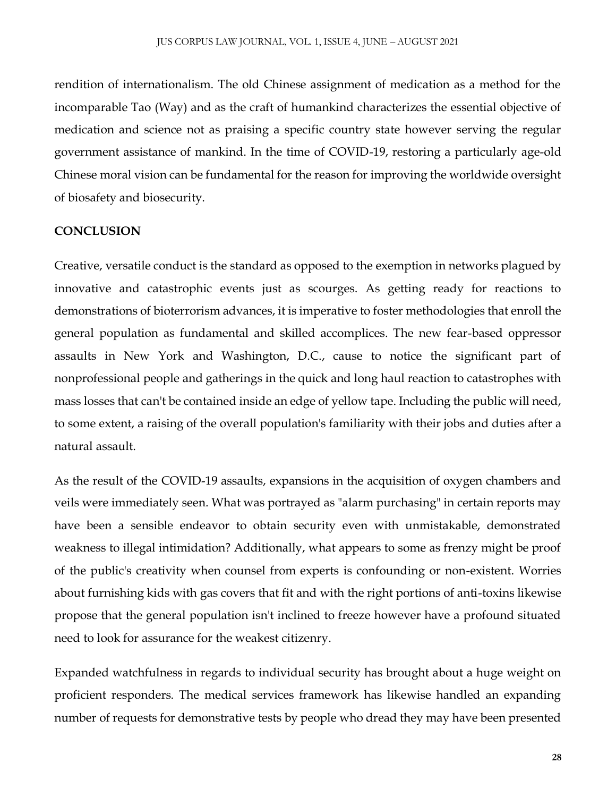rendition of internationalism. The old Chinese assignment of medication as a method for the incomparable Tao (Way) and as the craft of humankind characterizes the essential objective of medication and science not as praising a specific country state however serving the regular government assistance of mankind. In the time of COVID-19, restoring a particularly age-old Chinese moral vision can be fundamental for the reason for improving the worldwide oversight of biosafety and biosecurity.

### **CONCLUSION**

Creative, versatile conduct is the standard as opposed to the exemption in networks plagued by innovative and catastrophic events just as scourges. As getting ready for reactions to demonstrations of bioterrorism advances, it is imperative to foster methodologies that enroll the general population as fundamental and skilled accomplices. The new fear-based oppressor assaults in New York and Washington, D.C., cause to notice the significant part of nonprofessional people and gatherings in the quick and long haul reaction to catastrophes with mass losses that can't be contained inside an edge of yellow tape. Including the public will need, to some extent, a raising of the overall population's familiarity with their jobs and duties after a natural assault.

As the result of the COVID-19 assaults, expansions in the acquisition of oxygen chambers and veils were immediately seen. What was portrayed as "alarm purchasing" in certain reports may have been a sensible endeavor to obtain security even with unmistakable, demonstrated weakness to illegal intimidation? Additionally, what appears to some as frenzy might be proof of the public's creativity when counsel from experts is confounding or non-existent. Worries about furnishing kids with gas covers that fit and with the right portions of anti-toxins likewise propose that the general population isn't inclined to freeze however have a profound situated need to look for assurance for the weakest citizenry.

Expanded watchfulness in regards to individual security has brought about a huge weight on proficient responders. The medical services framework has likewise handled an expanding number of requests for demonstrative tests by people who dread they may have been presented